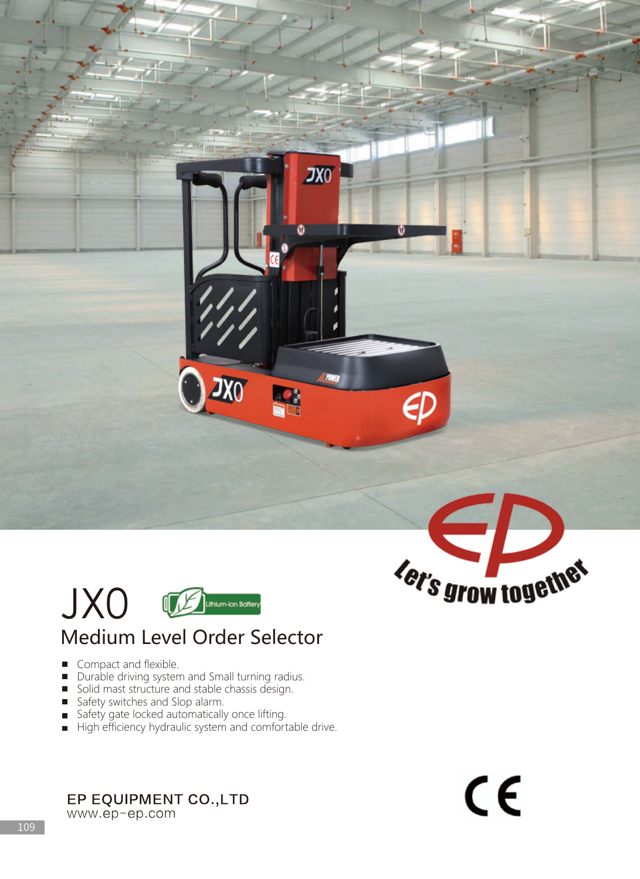

## Medium Level Order Selector

 $JX0$ 

**This** 

m

- Compact and flexible.
- Durable driving system and Small turning radius.
- Solid mast structure and stable chassis design.
- Safety switches and Slop alarm.
- Safety gate locked automatically once lifting.
- High efficiency hydraulic system and comfortable drive.

EP EQUIPMENT CO., LTD

www.ep-ep.com



 $\epsilon$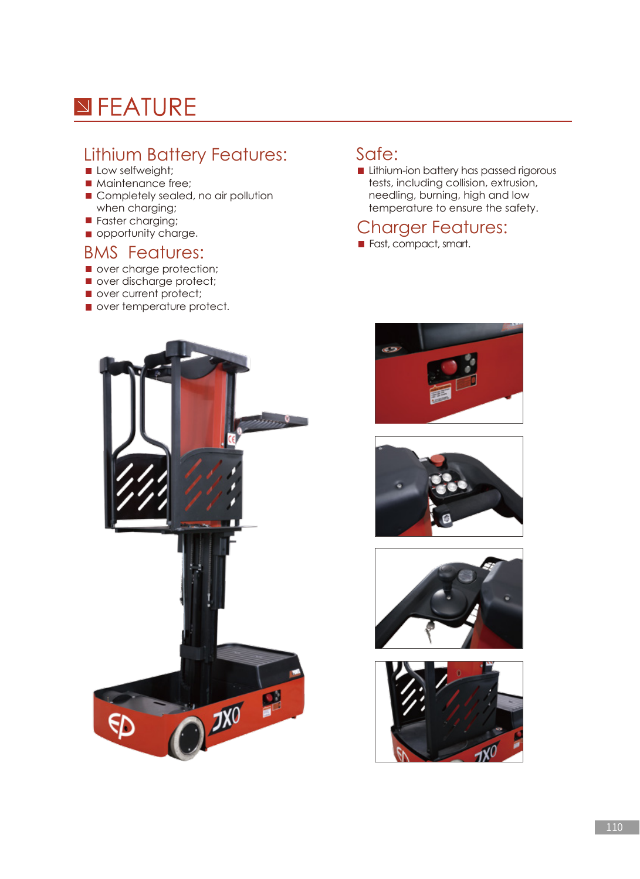# **N**FEATURE

### Lithium Battery Features:

- Low selfweight;
- **Maintenance free;**
- Completely sealed, no air pollution when charging;
- **Faster charging;**
- opportunity charge.

#### BMS Features:

- over charge protection;
- over discharge protect;
- over current protect;
- over temperature protect.

#### Safe:

**Lithium-ion battery has passed rigorous** tests, including collision, extrusion, needling, burning, high and low temperature to ensure the safety.

#### Charger Features:

Fast, compact, smart.









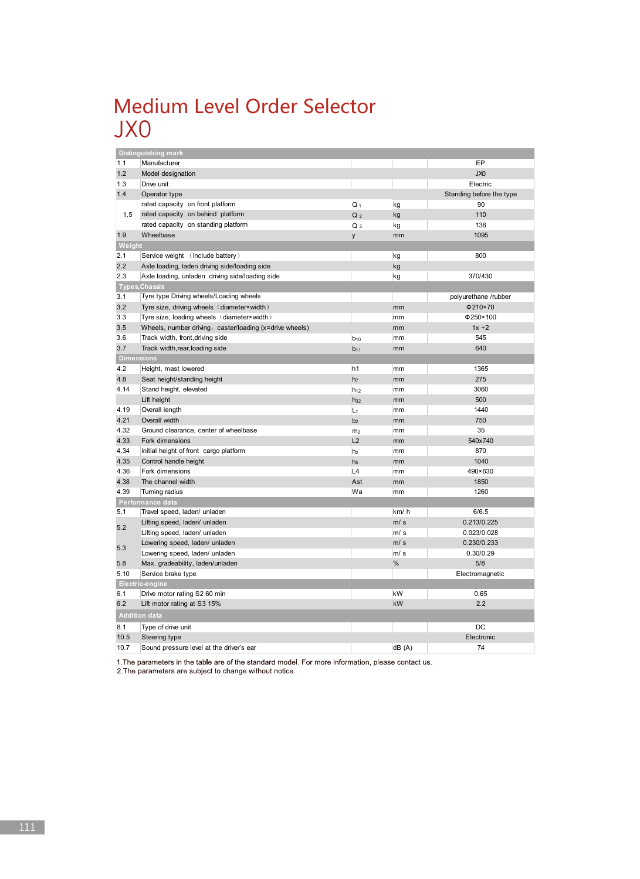## Medium Level Order Selector JX0

|                      | Distinguishing mark                                     |                |                                                                                                                                                                                                                     |                          |  |
|----------------------|---------------------------------------------------------|----------------|---------------------------------------------------------------------------------------------------------------------------------------------------------------------------------------------------------------------|--------------------------|--|
| 1.1                  | Manufacturer                                            |                |                                                                                                                                                                                                                     | EP                       |  |
| 1.2                  | Model designation                                       |                |                                                                                                                                                                                                                     | JX0                      |  |
| 1.3                  | Drive unit                                              |                |                                                                                                                                                                                                                     | Electric                 |  |
| 1.4                  | Operator type                                           |                |                                                                                                                                                                                                                     | Standing before the type |  |
|                      | rated capacity on front platform                        | $Q_1$          | kg<br>kg<br>kg<br>mm<br>kg<br>kg<br>kg<br>mm<br>mm<br>mm<br>mm<br>mm<br>mm<br>mm<br>mm<br>mm<br>mm<br>mm<br>mm<br>mm<br>mm<br>mm<br>mm<br>mm<br>mm<br>km/h<br>m/s<br>m/s<br>m/s<br>m/s<br>$\%$<br>kW<br>kW<br>dB(A) | 90                       |  |
| 1.5                  | rated capacity on behind platform                       | Q <sub>2</sub> |                                                                                                                                                                                                                     | 110                      |  |
|                      | rated capacity on standing platform                     | $Q_3$          |                                                                                                                                                                                                                     | 136                      |  |
| 1.9                  | Wheelbase                                               | y              |                                                                                                                                                                                                                     | 1095                     |  |
| Weight               |                                                         |                |                                                                                                                                                                                                                     |                          |  |
| 2.1                  | Service weight (include battery)                        |                |                                                                                                                                                                                                                     | 800                      |  |
| 2.2                  | Axle loading, laden driving side/loading side           |                |                                                                                                                                                                                                                     |                          |  |
| 2.3                  | Axle loading, unladen driving side/loading side         |                |                                                                                                                                                                                                                     | 370/430                  |  |
| Types, Chassis       |                                                         |                |                                                                                                                                                                                                                     |                          |  |
| 3.1                  | Tyre type Driving wheels/Loading wheels                 |                |                                                                                                                                                                                                                     | polyurethane /rubber     |  |
| 3.2                  | Tyre size, driving wheels (diameter x width)            |                |                                                                                                                                                                                                                     | Φ210×70                  |  |
| 3.3                  | Tyre size, loading wheels (diameter vwidth)             |                |                                                                                                                                                                                                                     | $\Phi$ 250×100           |  |
| 3.5                  | Wheels, number driving, caster/loading (x=drive wheels) |                |                                                                                                                                                                                                                     | $1x + 2$                 |  |
| 3.6                  | Track width, front, driving side                        | $b_{10}$       |                                                                                                                                                                                                                     | 545                      |  |
| 3.7                  | Track width, rear, loading side                         | $b_{11}$       |                                                                                                                                                                                                                     | 640                      |  |
|                      | <b>Dimensions</b>                                       |                |                                                                                                                                                                                                                     |                          |  |
| 4.2                  | Height, mast lowered                                    | h <sub>1</sub> |                                                                                                                                                                                                                     | 1365                     |  |
| 4.8                  | Seat height/standing height                             | h <sub>7</sub> |                                                                                                                                                                                                                     | 275                      |  |
| 4.14                 | Stand height, elevated                                  | $h_{12}$       |                                                                                                                                                                                                                     | 3060                     |  |
|                      | Lift height                                             | $h_{32}$       |                                                                                                                                                                                                                     | 500                      |  |
| 4.19                 | Overall length                                          | $L_1$          |                                                                                                                                                                                                                     | 1440                     |  |
| 4.21                 | Overall width                                           | b <sub>2</sub> |                                                                                                                                                                                                                     | 750                      |  |
| 4.32                 | Ground clearance, center of wheelbase                   | m <sub>2</sub> |                                                                                                                                                                                                                     | 35                       |  |
| 4.33                 | Fork dimensions                                         | L2             |                                                                                                                                                                                                                     | 540x740                  |  |
| 4.34                 | initial height of front cargo platform                  |                |                                                                                                                                                                                                                     | 870                      |  |
| 4.35                 | Control handle height                                   | h <sub>5</sub> |                                                                                                                                                                                                                     | 1040                     |  |
| 4.36                 | Fork dimensions                                         | L4             |                                                                                                                                                                                                                     | 490×630                  |  |
| 4.38                 | The channel width                                       | Ast            |                                                                                                                                                                                                                     | 1850                     |  |
| 4.39                 | Turning radius                                          | Wa             |                                                                                                                                                                                                                     | 1260                     |  |
|                      | Performance data                                        |                |                                                                                                                                                                                                                     |                          |  |
| 5.1                  | Travel speed, laden/ unladen                            |                |                                                                                                                                                                                                                     | 6/6.5                    |  |
|                      | Lifting speed, laden/ unladen                           |                |                                                                                                                                                                                                                     | 0.213/0.225              |  |
| 5.2                  | Lifting speed, laden/ unladen                           |                |                                                                                                                                                                                                                     | 0.023/0.028              |  |
|                      | Lowering speed, laden/ unladen                          |                |                                                                                                                                                                                                                     | 0.230/0.233              |  |
| 5.3                  | Lowering speed, laden/ unladen                          |                | h <sub>2</sub>                                                                                                                                                                                                      | 0.30/0.29                |  |
| 5.8                  | Max. gradeability, laden/unladen                        |                |                                                                                                                                                                                                                     | 5/8                      |  |
| 5.10                 | Service brake type                                      |                |                                                                                                                                                                                                                     | Electromagnetic          |  |
| Electric-engine      |                                                         |                |                                                                                                                                                                                                                     |                          |  |
| 6.1                  | Drive motor rating S2 60 min                            |                |                                                                                                                                                                                                                     | 0.65                     |  |
| 6.2                  | Lift motor rating at S3 15%                             |                |                                                                                                                                                                                                                     | 2.2                      |  |
| <b>Addition data</b> |                                                         |                |                                                                                                                                                                                                                     |                          |  |
| 8.1                  | Type of drive unit                                      |                |                                                                                                                                                                                                                     | DC                       |  |
| 10.5                 | Steering type                                           |                |                                                                                                                                                                                                                     | Electronic               |  |
| 10.7                 | Sound pressure level at the driver's ear                |                |                                                                                                                                                                                                                     | 74                       |  |
|                      |                                                         |                |                                                                                                                                                                                                                     |                          |  |

1. The parameters in the table are of the standard model. For more information, please contact us.<br>2. The parameters are subject to change without notice.